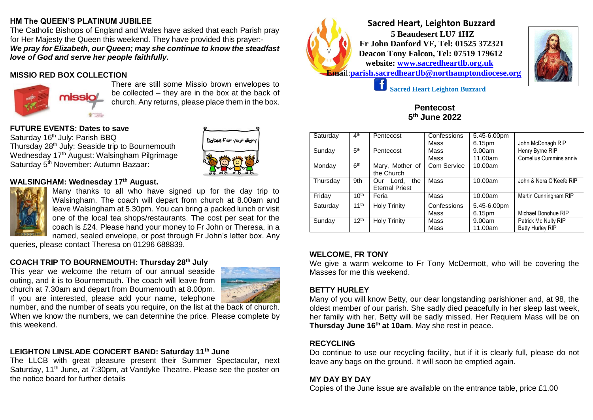### **HM The QUEEN'S PLATINUM JUBILEE**

The Catholic Bishops of England and Wales have asked that each Parish pray for Her Majesty the Queen this weekend. They have provided this prayer:- *We pray for Elizabeth, our Queen; may she continue to know the steadfast love of God and serve her people faithfully.*

# **MISSIO RED BOX COLLECTION**



There are still some Missio brown envelopes to be collected – they are in the box at the back of church. Any returns, please place them in the box.

### **FUTURE EVENTS: Dates to save**

Saturday 16<sup>th</sup> July: Parish BBQ Thursday 28<sup>th</sup> July: Seaside trip to Bournemouth Wednesday 17<sup>th</sup> August: Walsingham Pilgrimage Saturday 5<sup>th</sup> November: Autumn Bazaar:



### **WALSINGHAM: Wednesday 17th August.**



Many thanks to all who have signed up for the day trip to Walsingham. The coach will depart from church at 8.00am and leave Walsingham at 5.30pm. You can bring a packed lunch or visit one of the local tea shops/restaurants. The cost per seat for the coach is £24. Please hand your money to Fr John or Theresa, in a named, sealed envelope, or post through Fr John's letter box. Any

queries, please contact Theresa on 01296 688839.

# **COACH TRIP TO BOURNEMOUTH: Thursday 28th July**

This year we welcome the return of our annual seaside outing, and it is to Bournemouth. The coach will leave from church at 7.30am and depart from Bournemouth at 8.00pm. If you are interested, please add your name, telephone



number, and the number of seats you require, on the list at the back of church. When we know the numbers, we can determine the price. Please complete by this weekend.

# **LEIGHTON LINSLADE CONCERT BAND: Saturday 11th June**

The LLCB with great pleasure present their Summer Spectacular, next Saturday, 11<sup>th</sup> June, at 7:30pm, at Vandyke Theatre. Please see the poster on the notice board for further details



 **Sacred Heart, Leighton Buzzard 5 Beaudesert LU7 1HZ Fr John Danford VF, Tel: 01525 372321 Deacon Tony Falcon, Tel: 07519 179612 website: [www.sacredheartlb.org.uk](http://www.sacredheartlb.org.uk/) Ema**il:**[parish.sacredheartlb@northamptondiocese.org](mailto:parish.sacredheartlb@northamptondiocese.org)**



 **Sacred Heart Leighton Buzzard**

#### **Pentecost 5 th June 2022**

| Saturday | 4 <sup>th</sup>  | Pentecost             | Confessions | 5.45-6.00pm |                         |
|----------|------------------|-----------------------|-------------|-------------|-------------------------|
|          |                  |                       | Mass        | 6.15pm      | John McDonagh RIP       |
| Sunday   | 5 <sup>th</sup>  | Pentecost             | Mass        | 9.00am      | Henry Byrne RIP         |
|          |                  |                       | Mass        | 11.00am     | Cornelius Cummins anniv |
| Monday   | 6 <sup>th</sup>  | Mary, Mother of       | Com Service | 10.00am     |                         |
|          |                  | the Church            |             |             |                         |
| Thursday | 9th              | Lord, the<br>Our      | Mass        | 10.00am     | John & Nora O'Keefe RIP |
|          |                  | <b>Eternal Priest</b> |             |             |                         |
| Friday   | 10 <sup>th</sup> | Feria                 | Mass        | 10.00am     | Martin Cunningham RIP   |
| Saturday | 11 <sup>th</sup> | <b>Holy Trinity</b>   | Confessions | 5.45-6.00pm |                         |
|          |                  |                       | Mass        | 6.15pm      | Michael Donohue RIP     |
| Sunday   | 12 <sup>th</sup> | <b>Holy Trinity</b>   | Mass        | 9.00am      | Patrick Mc Nulty RIP    |
|          |                  |                       | Mass        | 11.00am     | <b>Betty Hurley RIP</b> |

#### **WELCOME, FR TONY**

We give a warm welcome to Fr Tony McDermott, who will be covering the Masses for me this weekend.

### **BETTY HURLEY**

Many of you will know Betty, our dear longstanding parishioner and, at 98, the oldest member of our parish. She sadly died peacefully in her sleep last week, her family with her. Betty will be sadly missed. Her Requiem Mass will be on **Thursday June 16th at 10am**. May she rest in peace.

# **RECYCLING**

Do continue to use our recycling facility, but if it is clearly full, please do not leave any bags on the ground. It will soon be emptied again.

#### **MY DAY BY DAY**

Copies of the June issue are available on the entrance table, price £1.00